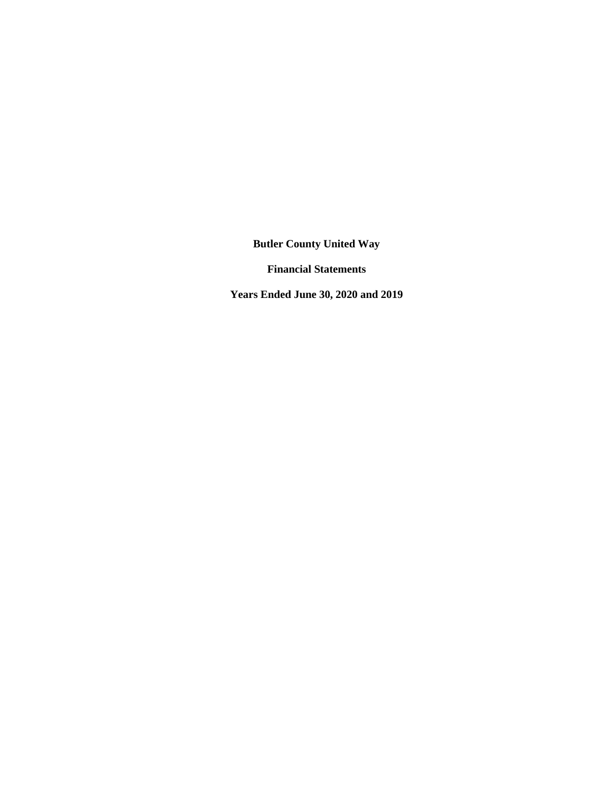**Butler County United Way**

**Financial Statements**

**Years Ended June 30, 2020 and 2019**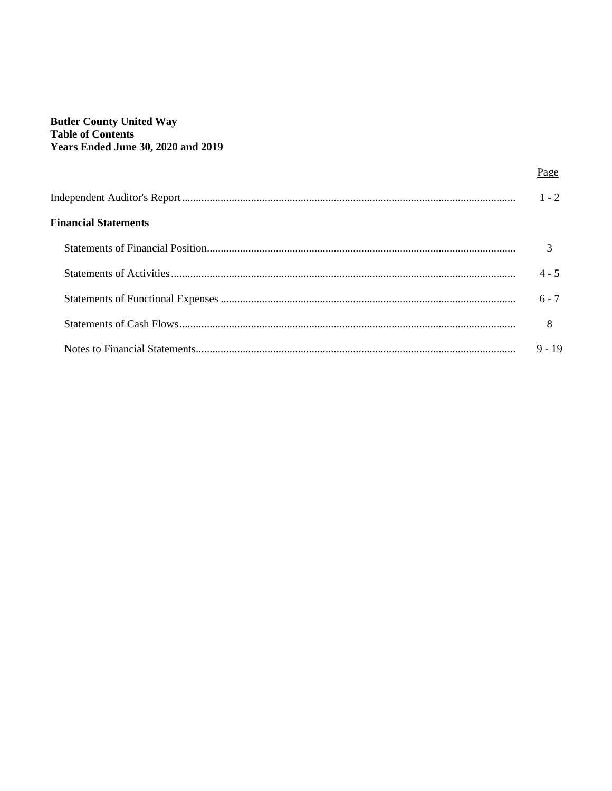# **Butler County United Way Table of Contents Years Ended June 30, 2020 and 2019**

|                             | $1 - 2$  |
|-----------------------------|----------|
| <b>Financial Statements</b> |          |
|                             |          |
|                             | 4 - 5    |
|                             | $6 - 7$  |
|                             | 8        |
|                             | $9 - 19$ |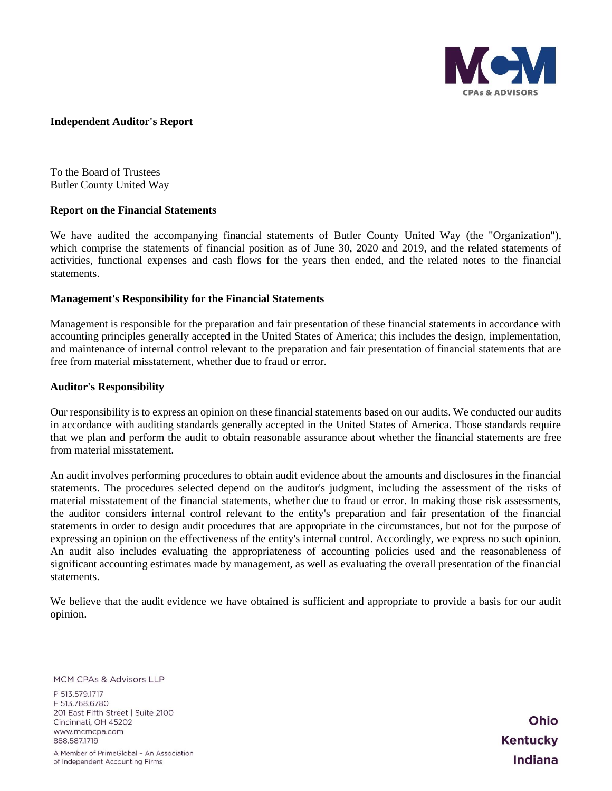

#### **Independent Auditor's Report**

To the Board of Trustees Butler County United Way

#### **Report on the Financial Statements**

We have audited the accompanying financial statements of Butler County United Way (the "Organization"), which comprise the statements of financial position as of June 30, 2020 and 2019, and the related statements of activities, functional expenses and cash flows for the years then ended, and the related notes to the financial statements.

#### **Management's Responsibility for the Financial Statements**

Management is responsible for the preparation and fair presentation of these financial statements in accordance with accounting principles generally accepted in the United States of America; this includes the design, implementation, and maintenance of internal control relevant to the preparation and fair presentation of financial statements that are free from material misstatement, whether due to fraud or error.

#### **Auditor's Responsibility**

Our responsibility is to express an opinion on these financial statements based on our audits. We conducted our audits in accordance with auditing standards generally accepted in the United States of America. Those standards require that we plan and perform the audit to obtain reasonable assurance about whether the financial statements are free from material misstatement.

An audit involves performing procedures to obtain audit evidence about the amounts and disclosures in the financial statements. The procedures selected depend on the auditor's judgment, including the assessment of the risks of material misstatement of the financial statements, whether due to fraud or error. In making those risk assessments, the auditor considers internal control relevant to the entity's preparation and fair presentation of the financial statements in order to design audit procedures that are appropriate in the circumstances, but not for the purpose of expressing an opinion on the effectiveness of the entity's internal control. Accordingly, we express no such opinion. An audit also includes evaluating the appropriateness of accounting policies used and the reasonableness of significant accounting estimates made by management, as well as evaluating the overall presentation of the financial statements.

We believe that the audit evidence we have obtained is sufficient and appropriate to provide a basis for our audit opinion.

MCM CPAs & Advisors LLP

P 513.579.1717 F 513,768,6780 201 East Fifth Street | Suite 2100 Cincinnati, OH 45202 www.mcmcpa.com 888.587.1719

A Member of PrimeGlobal - An Association of Independent Accounting Firms

Ohio **Kentucky Indiana**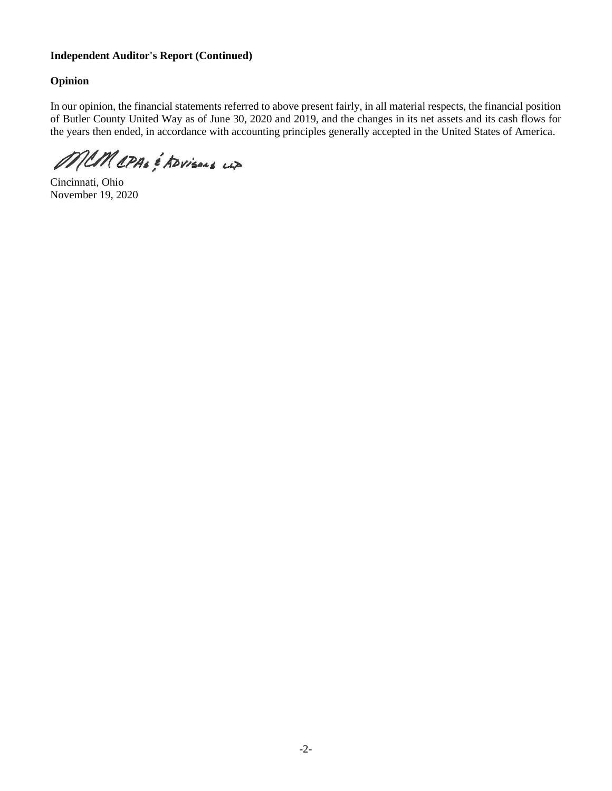## **Independent Auditor's Report (Continued)**

## **Opinion**

In our opinion, the financial statements referred to above present fairly, in all material respects, the financial position of Butler County United Way as of June 30, 2020 and 2019, and the changes in its net assets and its cash flows for the years then ended, in accordance with accounting principles generally accepted in the United States of America.

MCM CPAS & ADVISORS UP

Cincinnati, Ohio November 19, 2020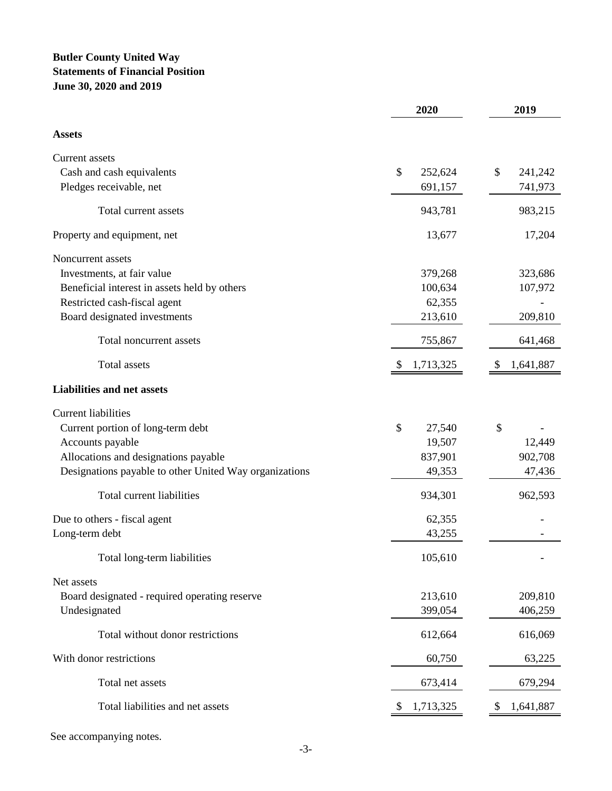# **Butler County United Way Statements of Financial Position June 30, 2020 and 2019**

|                                                        | 2020            |                |  |
|--------------------------------------------------------|-----------------|----------------|--|
| <b>Assets</b>                                          |                 |                |  |
| <b>Current</b> assets                                  |                 |                |  |
| Cash and cash equivalents                              | \$<br>252,624   | \$<br>241,242  |  |
| Pledges receivable, net                                | 691,157         | 741,973        |  |
| Total current assets                                   | 943,781         | 983,215        |  |
| Property and equipment, net                            | 13,677          | 17,204         |  |
| Noncurrent assets                                      |                 |                |  |
| Investments, at fair value                             | 379,268         | 323,686        |  |
| Beneficial interest in assets held by others           | 100,634         | 107,972        |  |
| Restricted cash-fiscal agent                           | 62,355          |                |  |
| Board designated investments                           | 213,610         | 209,810        |  |
| Total noncurrent assets                                | 755,867         | 641,468        |  |
| <b>Total assets</b>                                    | 1,713,325<br>\$ | 1,641,887      |  |
| <b>Liabilities and net assets</b>                      |                 |                |  |
| <b>Current liabilities</b>                             |                 |                |  |
| Current portion of long-term debt                      | \$<br>27,540    | \$             |  |
| Accounts payable                                       | 19,507          | 12,449         |  |
| Allocations and designations payable                   | 837,901         | 902,708        |  |
| Designations payable to other United Way organizations | 49,353          | 47,436         |  |
| Total current liabilities                              | 934,301         | 962,593        |  |
| Due to others - fiscal agent                           | 62,355          |                |  |
| Long-term debt                                         | 43,255          |                |  |
| Total long-term liabilities                            | 105,610         |                |  |
| Net assets                                             |                 |                |  |
| Board designated - required operating reserve          | 213,610         | 209,810        |  |
| Undesignated                                           | 399,054         | 406,259        |  |
| Total without donor restrictions                       | 612,664         | 616,069        |  |
| With donor restrictions                                | 60,750          | 63,225         |  |
| Total net assets                                       | 673,414         | 679,294        |  |
| Total liabilities and net assets                       | 1,713,325<br>\$ | 1,641,887<br>P |  |

See accompanying notes.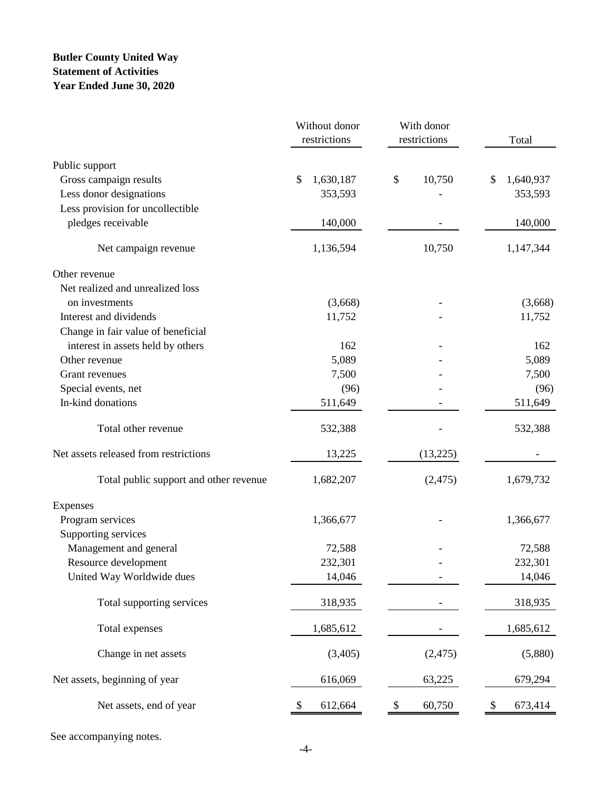# **Butler County United Way Statement of Activities Year Ended June 30, 2020**

|                                        | Without donor<br>restrictions | With donor<br>restrictions | Total           |
|----------------------------------------|-------------------------------|----------------------------|-----------------|
| Public support                         |                               |                            |                 |
| Gross campaign results                 | \$<br>1,630,187               | 10,750<br>\$               | 1,640,937<br>\$ |
| Less donor designations                | 353,593                       |                            | 353,593         |
| Less provision for uncollectible       |                               |                            |                 |
| pledges receivable                     | 140,000                       |                            | 140,000         |
| Net campaign revenue                   | 1,136,594                     | 10,750                     | 1,147,344       |
| Other revenue                          |                               |                            |                 |
| Net realized and unrealized loss       |                               |                            |                 |
| on investments                         | (3,668)                       |                            | (3,668)         |
| Interest and dividends                 | 11,752                        |                            | 11,752          |
| Change in fair value of beneficial     |                               |                            |                 |
| interest in assets held by others      | 162                           |                            | 162             |
| Other revenue                          | 5,089                         |                            | 5,089           |
| Grant revenues                         | 7,500                         |                            | 7,500           |
| Special events, net                    | (96)                          |                            | (96)            |
| In-kind donations                      | 511,649                       |                            | 511,649         |
| Total other revenue                    | 532,388                       |                            | 532,388         |
| Net assets released from restrictions  | 13,225                        | (13,225)                   |                 |
| Total public support and other revenue | 1,682,207                     | (2, 475)                   | 1,679,732       |
| <b>Expenses</b>                        |                               |                            |                 |
| Program services                       | 1,366,677                     |                            | 1,366,677       |
| Supporting services                    |                               |                            |                 |
| Management and general                 | 72,588                        |                            | 72,588          |
| Resource development                   | 232.301                       |                            | 232.301         |
| United Way Worldwide dues              | 14,046                        |                            | 14,046          |
| Total supporting services              | 318,935                       |                            | 318,935         |
| Total expenses                         | 1,685,612                     |                            | 1,685,612       |
| Change in net assets                   | (3,405)                       | (2, 475)                   | (5,880)         |
| Net assets, beginning of year          | 616,069                       | 63,225                     | 679,294         |
| Net assets, end of year                | 612,664<br><sup>2</sup>       | 60,750<br>\$               | 673,414         |
|                                        |                               |                            |                 |

See accompanying notes.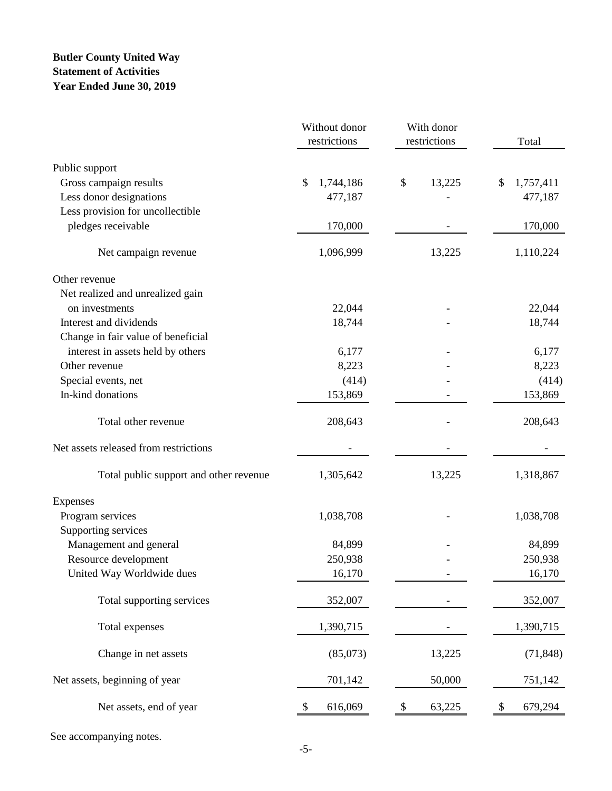# **Butler County United Way Statement of Activities Year Ended June 30, 2019**

|                                        | Without donor<br>restrictions | With donor<br>restrictions | Total           |
|----------------------------------------|-------------------------------|----------------------------|-----------------|
| Public support                         |                               |                            |                 |
| Gross campaign results                 | \$<br>1,744,186               | \$<br>13,225               | \$<br>1,757,411 |
| Less donor designations                | 477,187                       |                            | 477,187         |
| Less provision for uncollectible       |                               |                            |                 |
| pledges receivable                     | 170,000                       |                            | 170,000         |
| Net campaign revenue                   | 1,096,999                     | 13,225                     | 1,110,224       |
| Other revenue                          |                               |                            |                 |
| Net realized and unrealized gain       |                               |                            |                 |
| on investments                         | 22,044                        |                            | 22,044          |
| Interest and dividends                 | 18,744                        |                            | 18,744          |
| Change in fair value of beneficial     |                               |                            |                 |
| interest in assets held by others      | 6,177                         |                            | 6,177           |
| Other revenue                          | 8,223                         |                            | 8,223           |
| Special events, net                    | (414)                         |                            | (414)           |
| In-kind donations                      | 153,869                       |                            | 153,869         |
| Total other revenue                    | 208,643                       |                            | 208,643         |
| Net assets released from restrictions  |                               |                            |                 |
| Total public support and other revenue | 1,305,642                     | 13,225                     | 1,318,867       |
| Expenses                               |                               |                            |                 |
| Program services                       | 1,038,708                     |                            | 1,038,708       |
| Supporting services                    |                               |                            |                 |
| Management and general                 | 84,899                        |                            | 84,899          |
| Resource development                   | 250,938                       |                            | 250,938         |
| United Way Worldwide dues              | 16,170                        |                            | 16,170          |
| Total supporting services              | 352,007                       |                            | 352,007         |
| Total expenses                         | 1,390,715                     |                            | 1,390,715       |
| Change in net assets                   | (85,073)                      | 13,225                     | (71, 848)       |
| Net assets, beginning of year          | 701,142                       | 50,000                     | 751,142         |
| Net assets, end of year                | 616,069<br>S                  | 63,225<br>S                | 679,294         |
|                                        |                               |                            |                 |

See accompanying notes.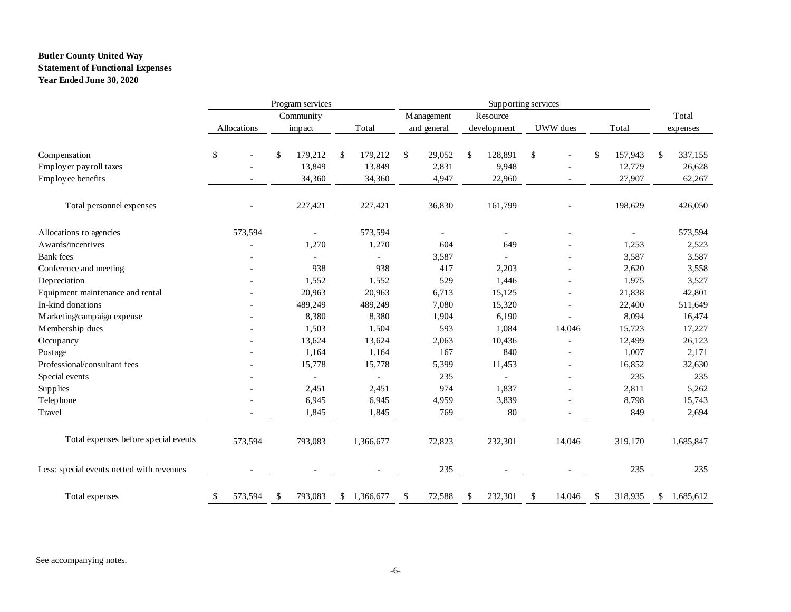#### **Butler County United Way Statement of Functional Expenses Year Ended June 30, 2020**

|                                           | Program services         |                          |                          |                         |                          |              |                          |                 |  |
|-------------------------------------------|--------------------------|--------------------------|--------------------------|-------------------------|--------------------------|--------------|--------------------------|-----------------|--|
|                                           |                          | Community                |                          | Resource<br>M anagement |                          |              |                          | Total           |  |
|                                           | Allocations              | impact                   | Total                    | and general             | development              | UWW dues     | Total                    | expenses        |  |
|                                           |                          |                          |                          |                         |                          |              |                          |                 |  |
| Compensation                              | $\mathcal{S}$            | 179,212<br>$\mathcal{S}$ | <sup>\$</sup><br>179,212 | \$<br>29,052            | $\mathbf{\$}$<br>128,891 | \$           | 157,943<br><sup>\$</sup> | \$<br>337,155   |  |
| Employer payroll taxes                    |                          | 13,849                   | 13,849                   | 2,831                   | 9,948                    |              | 12,779                   | 26,628          |  |
| Employee benefits                         |                          | 34,360                   | 34,360                   | 4,947                   | 22,960                   |              | 27,907                   | 62,267          |  |
| Total personnel expenses                  |                          | 227,421                  | 227,421                  | 36,830                  | 161,799                  |              | 198,629                  | 426,050         |  |
| Allocations to agencies                   | 573,594                  | $\overline{\phantom{a}}$ | 573,594                  | $\overline{a}$          |                          |              | $\overline{\phantom{0}}$ | 573,594         |  |
| Awards/incentives                         |                          | 1,270                    | 1,270                    | 604                     | 649                      |              | 1,253                    | 2,523           |  |
| <b>Bank</b> fees                          |                          |                          |                          | 3,587                   |                          |              | 3,587                    | 3,587           |  |
| Conference and meeting                    |                          | 938                      | 938                      | 417                     | 2,203                    |              | 2,620                    | 3,558           |  |
| Depreciation                              |                          | 1,552                    | 1,552                    | 529                     | 1,446                    |              | 1,975                    | 3,527           |  |
| Equipment maintenance and rental          |                          | 20,963                   | 20,963                   | 6,713                   | 15,125                   |              | 21,838                   | 42,801          |  |
| In-kind donations                         |                          | 489,249                  | 489,249                  | 7,080                   | 15,320                   |              | 22,400                   | 511,649         |  |
| Marketing/campaign expense                |                          | 8,380                    | 8,380                    | 1,904                   | 6,190                    |              | 8,094                    | 16,474          |  |
| Membership dues                           |                          | 1,503                    | 1,504                    | 593                     | 1,084                    | 14,046       | 15,723                   | 17,227          |  |
| Occupancy                                 |                          | 13,624                   | 13,624                   | 2,063                   | 10,436                   |              | 12,499                   | 26,123          |  |
| Postage                                   |                          | 1,164                    | 1,164                    | 167                     | 840                      |              | 1,007                    | 2,171           |  |
| Professional/consultant fees              |                          | 15,778                   | 15,778                   | 5,399                   | 11,453                   |              | 16,852                   | 32,630          |  |
| Special events                            |                          |                          |                          | 235                     |                          |              | 235                      | 235             |  |
| Supplies                                  |                          | 2,451                    | 2,451                    | 974                     | 1,837                    |              | 2,811                    | 5,262           |  |
| Telephone                                 |                          | 6,945                    | 6,945                    | 4,959                   | 3,839                    |              | 8,798                    | 15,743          |  |
| Travel                                    | $\overline{\phantom{a}}$ | 1,845                    | 1,845                    | 769                     | 80                       |              | 849                      | 2,694           |  |
| Total expenses before special events      | 573,594                  | 793,083                  | 1,366,677                | 72,823                  | 232,301                  | 14,046       | 319,170                  | 1,685,847       |  |
| Less: special events netted with revenues |                          |                          |                          | 235                     |                          |              | 235                      | 235             |  |
| Total expenses                            | 573,594<br>-S            | 793,083<br>\$.           | 1,366,677<br>\$          | 72,588<br>-S            | 232,301<br>-S            | 14,046<br>-S | 318,935<br>\$.           | 1,685,612<br>\$ |  |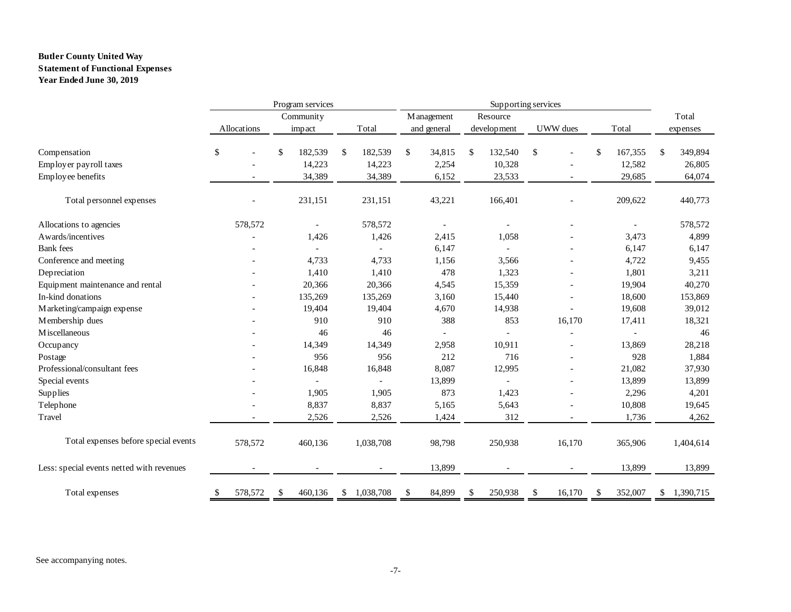#### **Butler County United Way Statement of Functional Expenses Year Ended June 30, 2019**

|                                           | Program services |                          |                 |                          |                          |                          |                          |               |
|-------------------------------------------|------------------|--------------------------|-----------------|--------------------------|--------------------------|--------------------------|--------------------------|---------------|
|                                           |                  | Community                |                 | M anagement              | Resource                 |                          |                          |               |
|                                           | Allocations      | impact                   | Total           | and general              | development              | UWW dues                 | Total                    | expenses      |
| Compensation                              | \$               | \$<br>182,539            | 182,539<br>\$   | \$<br>34,815             | 132,540<br>\$            | \$                       | 167,355<br>\$.           | 349,894<br>\$ |
| Employer payroll taxes                    |                  | 14,223                   | 14,223          | 2,254                    | 10,328                   |                          | 12,582                   | 26,805        |
| Employee benefits                         |                  | 34,389                   | 34,389          | 6,152                    | 23,533                   |                          | 29,685                   | 64,074        |
| Total personnel expenses                  |                  | 231,151                  | 231,151         | 43,221                   | 166,401                  |                          | 209,622                  | 440,773       |
| Allocations to agencies                   | 578,572          | $\overline{\phantom{a}}$ | 578,572         | $\overline{\phantom{a}}$ | $\overline{\phantom{a}}$ |                          | $\overline{\phantom{a}}$ | 578,572       |
| Awards/incentives                         |                  | 1,426                    | 1,426           | 2,415                    | 1,058                    |                          | 3,473                    | 4,899         |
| <b>Bank</b> fees                          |                  | $\blacksquare$           |                 | 6,147                    |                          |                          | 6,147                    | 6,147         |
| Conference and meeting                    |                  | 4,733                    | 4,733           | 1,156                    | 3,566                    |                          | 4,722                    | 9,455         |
| Depreciation                              |                  | 1,410                    | 1,410           | 478                      | 1,323                    |                          | 1,801                    | 3,211         |
| Equipment maintenance and rental          |                  | 20,366                   | 20,366          | 4,545                    | 15,359                   |                          | 19,904                   | 40,270        |
| In-kind donations                         |                  | 135,269                  | 135,269         | 3,160                    | 15,440                   |                          | 18,600                   | 153,869       |
| Marketing/campaign expense                |                  | 19,404                   | 19,404          | 4,670                    | 14,938                   |                          | 19,608                   | 39,012        |
| Membership dues                           |                  | 910                      | 910             | 388                      | 853                      | 16,170                   | 17,411                   | 18,321        |
| M iscellaneous                            |                  | 46                       | 46              |                          |                          |                          |                          | 46            |
| Occupancy                                 |                  | 14,349                   | 14,349          | 2,958                    | 10,911                   | $\overline{\phantom{a}}$ | 13,869                   | 28,218        |
| Postage                                   |                  | 956                      | 956             | 212                      | 716                      |                          | 928                      | 1,884         |
| Professional/consultant fees              |                  | 16,848                   | 16,848          | 8,087                    | 12,995                   |                          | 21,082                   | 37,930        |
| Special events                            |                  | $\overline{a}$           |                 | 13,899                   |                          |                          | 13,899                   | 13,899        |
| Supplies                                  |                  | 1,905                    | 1,905           | 873                      | 1,423                    |                          | 2,296                    | 4,201         |
| Telephone                                 |                  | 8,837                    | 8,837           | 5,165                    | 5,643                    |                          | 10,808                   | 19,645        |
| Travel                                    |                  | 2,526                    | 2,526           | 1,424                    | 312                      |                          | 1,736                    | 4,262         |
| Total expenses before special events      | 578,572          | 460,136                  | 1,038,708       | 98,798                   | 250,938                  | 16,170                   | 365,906                  | 1,404,614     |
| Less: special events netted with revenues |                  |                          |                 | 13,899                   |                          |                          | 13,899                   | 13,899        |
| Total expenses                            | 578,572<br>\$    | 460,136<br>\$            | 1,038,708<br>\$ | 84,899<br>\$             | 250,938<br>\$            | 16,170<br>\$             | 352,007<br>\$.           | \$1,390,715   |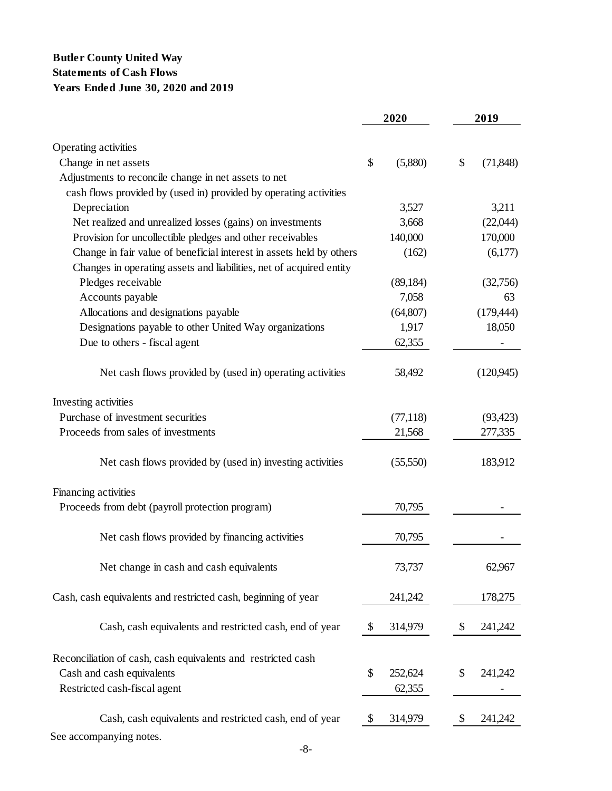# **Butler County United Way Statements of Cash Flows Years Ended June 30, 2020 and 2019**

|                                                                      | 2020                    | 2019            |
|----------------------------------------------------------------------|-------------------------|-----------------|
| Operating activities                                                 |                         |                 |
| Change in net assets                                                 | \$<br>(5,880)           | \$<br>(71, 848) |
| Adjustments to reconcile change in net assets to net                 |                         |                 |
| cash flows provided by (used in) provided by operating activities    |                         |                 |
| Depreciation                                                         | 3,527                   | 3,211           |
| Net realized and unrealized losses (gains) on investments            | 3,668                   | (22,044)        |
| Provision for uncollectible pledges and other receivables            | 140,000                 | 170,000         |
| Change in fair value of beneficial interest in assets held by others | (162)                   | (6,177)         |
| Changes in operating assets and liabilities, net of acquired entity  |                         |                 |
| Pledges receivable                                                   | (89, 184)               | (32,756)        |
| Accounts payable                                                     | 7,058                   | 63              |
| Allocations and designations payable                                 | (64, 807)               | (179, 444)      |
| Designations payable to other United Way organizations               | 1,917                   | 18,050          |
| Due to others - fiscal agent                                         | 62,355                  |                 |
| Net cash flows provided by (used in) operating activities            | 58,492                  | (120, 945)      |
| Investing activities                                                 |                         |                 |
| Purchase of investment securities                                    | (77, 118)               | (93, 423)       |
| Proceeds from sales of investments                                   | 21,568                  | 277,335         |
| Net cash flows provided by (used in) investing activities            | (55,550)                | 183,912         |
| Financing activities                                                 |                         |                 |
| Proceeds from debt (payroll protection program)                      | 70,795                  |                 |
| Net cash flows provided by financing activities                      | 70,795                  |                 |
| Net change in cash and cash equivalents                              | 73,737                  | 62,967          |
| Cash, cash equivalents and restricted cash, beginning of year        | 241,242                 | 178,275         |
| Cash, cash equivalents and restricted cash, end of year              | 314,979<br><sup>2</sup> | 241,242<br>S.   |
| Reconciliation of cash, cash equivalents and restricted cash         |                         |                 |
| Cash and cash equivalents                                            | \$<br>252,624           | \$<br>241,242   |
| Restricted cash-fiscal agent                                         | 62,355                  |                 |
| Cash, cash equivalents and restricted cash, end of year              | 314,979<br><sup>2</sup> | 241,242         |
| See accompanying notes.                                              |                         |                 |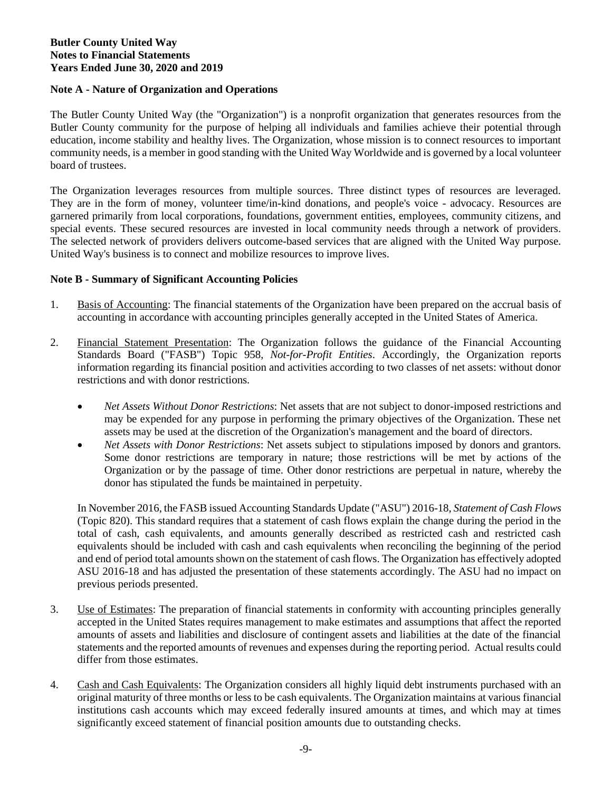## **Note A - Nature of Organization and Operations**

The Butler County United Way (the "Organization") is a nonprofit organization that generates resources from the Butler County community for the purpose of helping all individuals and families achieve their potential through education, income stability and healthy lives. The Organization, whose mission is to connect resources to important community needs, is a member in good standing with the United Way Worldwide and is governed by a local volunteer board of trustees.

The Organization leverages resources from multiple sources. Three distinct types of resources are leveraged. They are in the form of money, volunteer time/in-kind donations, and people's voice - advocacy. Resources are garnered primarily from local corporations, foundations, government entities, employees, community citizens, and special events. These secured resources are invested in local community needs through a network of providers. The selected network of providers delivers outcome-based services that are aligned with the United Way purpose. United Way's business is to connect and mobilize resources to improve lives.

## **Note B - Summary of Significant Accounting Policies**

- 1. Basis of Accounting: The financial statements of the Organization have been prepared on the accrual basis of accounting in accordance with accounting principles generally accepted in the United States of America.
- 2. Financial Statement Presentation: The Organization follows the guidance of the Financial Accounting Standards Board ("FASB") Topic 958, *Not-for-Profit Entities*. Accordingly, the Organization reports information regarding its financial position and activities according to two classes of net assets: without donor restrictions and with donor restrictions.
	- *Net Assets Without Donor Restrictions*: Net assets that are not subject to donor-imposed restrictions and may be expended for any purpose in performing the primary objectives of the Organization. These net assets may be used at the discretion of the Organization's management and the board of directors.
	- *Net Assets with Donor Restrictions*: Net assets subject to stipulations imposed by donors and grantors. Some donor restrictions are temporary in nature; those restrictions will be met by actions of the Organization or by the passage of time. Other donor restrictions are perpetual in nature, whereby the donor has stipulated the funds be maintained in perpetuity.

In November 2016, the FASB issued Accounting Standards Update ("ASU") 2016-18, *Statement of Cash Flows* (Topic 820). This standard requires that a statement of cash flows explain the change during the period in the total of cash, cash equivalents, and amounts generally described as restricted cash and restricted cash equivalents should be included with cash and cash equivalents when reconciling the beginning of the period and end of period total amounts shown on the statement of cash flows. The Organization has effectively adopted ASU 2016-18 and has adjusted the presentation of these statements accordingly. The ASU had no impact on previous periods presented.

- 3. Use of Estimates: The preparation of financial statements in conformity with accounting principles generally accepted in the United States requires management to make estimates and assumptions that affect the reported amounts of assets and liabilities and disclosure of contingent assets and liabilities at the date of the financial statements and the reported amounts of revenues and expenses during the reporting period. Actual results could differ from those estimates.
- 4. Cash and Cash Equivalents: The Organization considers all highly liquid debt instruments purchased with an original maturity of three months or less to be cash equivalents. The Organization maintains at various financial institutions cash accounts which may exceed federally insured amounts at times, and which may at times significantly exceed statement of financial position amounts due to outstanding checks.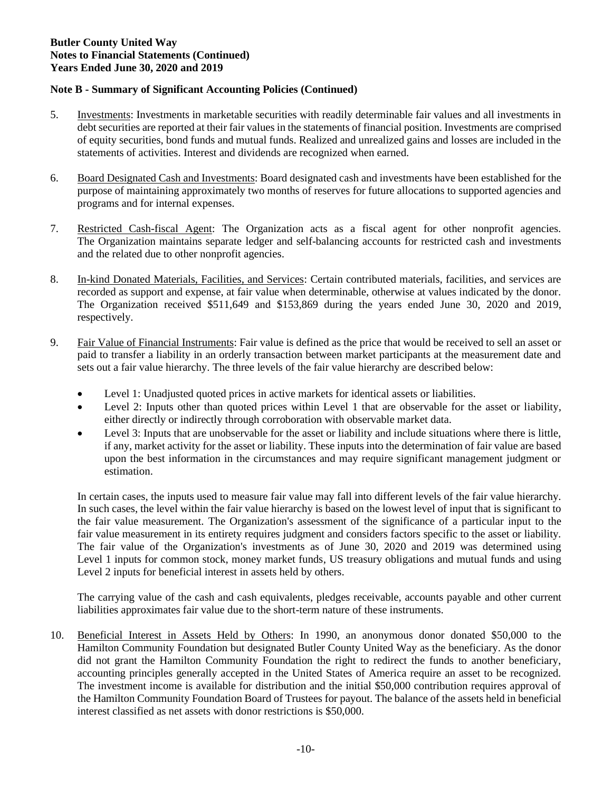## **Note B - Summary of Significant Accounting Policies (Continued)**

- 5. Investments: Investments in marketable securities with readily determinable fair values and all investments in debt securities are reported at their fair values in the statements of financial position. Investments are comprised of equity securities, bond funds and mutual funds. Realized and unrealized gains and losses are included in the statements of activities. Interest and dividends are recognized when earned.
- 6. Board Designated Cash and Investments: Board designated cash and investments have been established for the purpose of maintaining approximately two months of reserves for future allocations to supported agencies and programs and for internal expenses.
- 7. Restricted Cash-fiscal Agent: The Organization acts as a fiscal agent for other nonprofit agencies. The Organization maintains separate ledger and self-balancing accounts for restricted cash and investments and the related due to other nonprofit agencies.
- 8. In-kind Donated Materials, Facilities, and Services: Certain contributed materials, facilities, and services are recorded as support and expense, at fair value when determinable, otherwise at values indicated by the donor. The Organization received \$511,649 and \$153,869 during the years ended June 30, 2020 and 2019, respectively.
- 9. Fair Value of Financial Instruments: Fair value is defined as the price that would be received to sell an asset or paid to transfer a liability in an orderly transaction between market participants at the measurement date and sets out a fair value hierarchy. The three levels of the fair value hierarchy are described below:
	- Level 1: Unadjusted quoted prices in active markets for identical assets or liabilities.
	- Level 2: Inputs other than quoted prices within Level 1 that are observable for the asset or liability, either directly or indirectly through corroboration with observable market data.
	- Level 3: Inputs that are unobservable for the asset or liability and include situations where there is little, if any, market activity for the asset or liability. These inputs into the determination of fair value are based upon the best information in the circumstances and may require significant management judgment or estimation.

In certain cases, the inputs used to measure fair value may fall into different levels of the fair value hierarchy. In such cases, the level within the fair value hierarchy is based on the lowest level of input that is significant to the fair value measurement. The Organization's assessment of the significance of a particular input to the fair value measurement in its entirety requires judgment and considers factors specific to the asset or liability. The fair value of the Organization's investments as of June 30, 2020 and 2019 was determined using Level 1 inputs for common stock, money market funds, US treasury obligations and mutual funds and using Level 2 inputs for beneficial interest in assets held by others.

The carrying value of the cash and cash equivalents, pledges receivable, accounts payable and other current liabilities approximates fair value due to the short-term nature of these instruments.

10. Beneficial Interest in Assets Held by Others: In 1990, an anonymous donor donated \$50,000 to the Hamilton Community Foundation but designated Butler County United Way as the beneficiary. As the donor did not grant the Hamilton Community Foundation the right to redirect the funds to another beneficiary, accounting principles generally accepted in the United States of America require an asset to be recognized. The investment income is available for distribution and the initial \$50,000 contribution requires approval of the Hamilton Community Foundation Board of Trustees for payout. The balance of the assets held in beneficial interest classified as net assets with donor restrictions is \$50,000.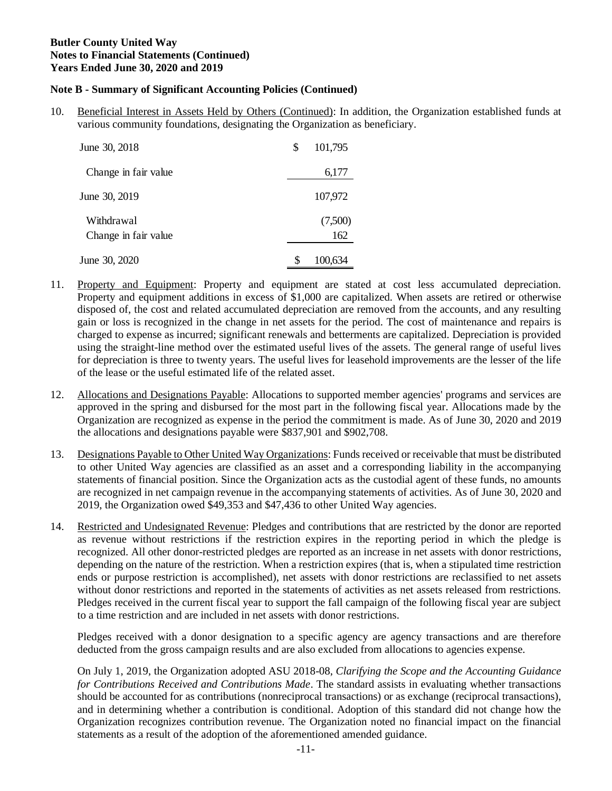## **Note B - Summary of Significant Accounting Policies (Continued)**

10. Beneficial Interest in Assets Held by Others (Continued): In addition, the Organization established funds at various community foundations, designating the Organization as beneficiary.

| June 30, 2018                      | \$<br>101,795  |
|------------------------------------|----------------|
| Change in fair value               | 6,177          |
| June 30, 2019                      | 107,972        |
| Withdrawal<br>Change in fair value | (7,500)<br>162 |
| June 30, 2020                      | 100.634        |

- 11. Property and Equipment: Property and equipment are stated at cost less accumulated depreciation. Property and equipment additions in excess of \$1,000 are capitalized. When assets are retired or otherwise disposed of, the cost and related accumulated depreciation are removed from the accounts, and any resulting gain or loss is recognized in the change in net assets for the period. The cost of maintenance and repairs is charged to expense as incurred; significant renewals and betterments are capitalized. Depreciation is provided using the straight-line method over the estimated useful lives of the assets. The general range of useful lives for depreciation is three to twenty years. The useful lives for leasehold improvements are the lesser of the life of the lease or the useful estimated life of the related asset.
- 12. Allocations and Designations Payable: Allocations to supported member agencies' programs and services are approved in the spring and disbursed for the most part in the following fiscal year. Allocations made by the Organization are recognized as expense in the period the commitment is made. As of June 30, 2020 and 2019 the allocations and designations payable were \$837,901 and \$902,708.
- 13. Designations Payable to Other United Way Organizations: Funds received or receivable that must be distributed to other United Way agencies are classified as an asset and a corresponding liability in the accompanying statements of financial position. Since the Organization acts as the custodial agent of these funds, no amounts are recognized in net campaign revenue in the accompanying statements of activities. As of June 30, 2020 and 2019, the Organization owed \$49,353 and \$47,436 to other United Way agencies.
- 14. Restricted and Undesignated Revenue: Pledges and contributions that are restricted by the donor are reported as revenue without restrictions if the restriction expires in the reporting period in which the pledge is recognized. All other donor-restricted pledges are reported as an increase in net assets with donor restrictions, depending on the nature of the restriction. When a restriction expires (that is, when a stipulated time restriction ends or purpose restriction is accomplished), net assets with donor restrictions are reclassified to net assets without donor restrictions and reported in the statements of activities as net assets released from restrictions. Pledges received in the current fiscal year to support the fall campaign of the following fiscal year are subject to a time restriction and are included in net assets with donor restrictions.

Pledges received with a donor designation to a specific agency are agency transactions and are therefore deducted from the gross campaign results and are also excluded from allocations to agencies expense.

On July 1, 2019, the Organization adopted ASU 2018-08, *Clarifying the Scope and the Accounting Guidance for Contributions Received and Contributions Made*. The standard assists in evaluating whether transactions should be accounted for as contributions (nonreciprocal transactions) or as exchange (reciprocal transactions), and in determining whether a contribution is conditional. Adoption of this standard did not change how the Organization recognizes contribution revenue. The Organization noted no financial impact on the financial statements as a result of the adoption of the aforementioned amended guidance.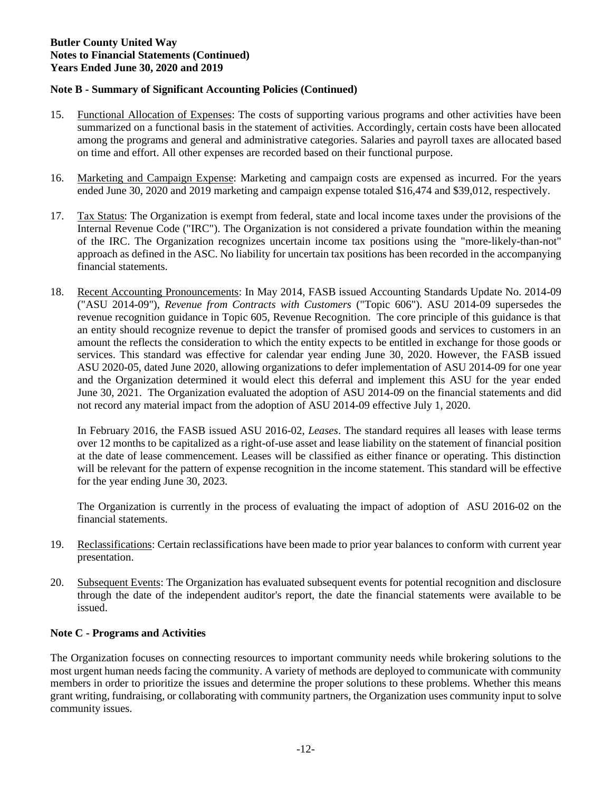## **Note B - Summary of Significant Accounting Policies (Continued)**

- 15. Functional Allocation of Expenses: The costs of supporting various programs and other activities have been summarized on a functional basis in the statement of activities. Accordingly, certain costs have been allocated among the programs and general and administrative categories. Salaries and payroll taxes are allocated based on time and effort. All other expenses are recorded based on their functional purpose.
- 16. Marketing and Campaign Expense: Marketing and campaign costs are expensed as incurred. For the years ended June 30, 2020 and 2019 marketing and campaign expense totaled \$16,474 and \$39,012, respectively.
- 17. Tax Status: The Organization is exempt from federal, state and local income taxes under the provisions of the Internal Revenue Code ("IRC"). The Organization is not considered a private foundation within the meaning of the IRC. The Organization recognizes uncertain income tax positions using the "more-likely-than-not" approach as defined in the ASC. No liability for uncertain tax positions has been recorded in the accompanying financial statements.
- 18. Recent Accounting Pronouncements: In May 2014, FASB issued Accounting Standards Update No. 2014-09 ("ASU 2014-09"), *Revenue from Contracts with Customers* ("Topic 606"). ASU 2014-09 supersedes the revenue recognition guidance in Topic 605, Revenue Recognition. The core principle of this guidance is that an entity should recognize revenue to depict the transfer of promised goods and services to customers in an amount the reflects the consideration to which the entity expects to be entitled in exchange for those goods or services. This standard was effective for calendar year ending June 30, 2020. However, the FASB issued ASU 2020-05, dated June 2020, allowing organizations to defer implementation of ASU 2014-09 for one year and the Organization determined it would elect this deferral and implement this ASU for the year ended June 30, 2021. The Organization evaluated the adoption of ASU 2014-09 on the financial statements and did not record any material impact from the adoption of ASU 2014-09 effective July 1, 2020.

In February 2016, the FASB issued ASU 2016-02, *Leases*. The standard requires all leases with lease terms over 12 months to be capitalized as a right-of-use asset and lease liability on the statement of financial position at the date of lease commencement. Leases will be classified as either finance or operating. This distinction will be relevant for the pattern of expense recognition in the income statement. This standard will be effective for the year ending June 30, 2023.

The Organization is currently in the process of evaluating the impact of adoption of ASU 2016-02 on the financial statements.

- 19. Reclassifications: Certain reclassifications have been made to prior year balances to conform with current year presentation.
- 20. Subsequent Events: The Organization has evaluated subsequent events for potential recognition and disclosure through the date of the independent auditor's report, the date the financial statements were available to be issued.

## **Note C - Programs and Activities**

The Organization focuses on connecting resources to important community needs while brokering solutions to the most urgent human needs facing the community. A variety of methods are deployed to communicate with community members in order to prioritize the issues and determine the proper solutions to these problems. Whether this means grant writing, fundraising, or collaborating with community partners, the Organization uses community input to solve community issues.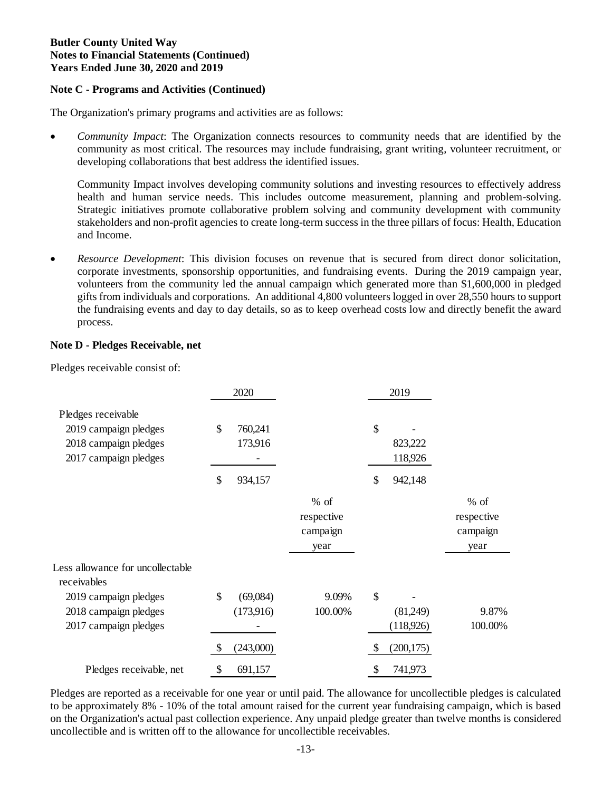## **Note C - Programs and Activities (Continued)**

The Organization's primary programs and activities are as follows:

• *Community Impact*: The Organization connects resources to community needs that are identified by the community as most critical. The resources may include fundraising, grant writing, volunteer recruitment, or developing collaborations that best address the identified issues.

Community Impact involves developing community solutions and investing resources to effectively address health and human service needs. This includes outcome measurement, planning and problem-solving. Strategic initiatives promote collaborative problem solving and community development with community stakeholders and non-profit agencies to create long-term success in the three pillars of focus: Health, Education and Income.

• *Resource Development*: This division focuses on revenue that is secured from direct donor solicitation, corporate investments, sponsorship opportunities, and fundraising events. During the 2019 campaign year, volunteers from the community led the annual campaign which generated more than \$1,600,000 in pledged gifts from individuals and corporations. An additional 4,800 volunteers logged in over 28,550 hours to support the fundraising events and day to day details, so as to keep overhead costs low and directly benefit the award process.

## **Note D - Pledges Receivable, net**

Pledges receivable consist of:

|                                                 |               | 2020      |            |    | 2019       |            |
|-------------------------------------------------|---------------|-----------|------------|----|------------|------------|
| Pledges receivable                              |               |           |            |    |            |            |
| 2019 campaign pledges                           | \$            | 760,241   |            | \$ |            |            |
| 2018 campaign pledges                           |               | 173,916   |            |    | 823,222    |            |
| 2017 campaign pledges                           |               |           |            |    | 118,926    |            |
|                                                 | \$            | 934,157   |            | \$ | 942,148    |            |
|                                                 |               |           | $%$ of     |    |            | $%$ of     |
|                                                 |               |           | respective |    |            | respective |
|                                                 |               |           | campaign   |    |            | campaign   |
|                                                 |               |           | year       |    |            | year       |
| Less allowance for uncollectable<br>receivables |               |           |            |    |            |            |
| 2019 campaign pledges                           | \$            | (69,084)  | 9.09%      | \$ |            |            |
| 2018 campaign pledges                           |               | (173,916) | 100.00%    |    | (81,249)   | 9.87%      |
| 2017 campaign pledges                           |               |           |            |    | (118,926)  | 100.00%    |
|                                                 | \$            | (243,000) |            | S  | (200, 175) |            |
| Pledges receivable, net                         | <sup>\$</sup> | 691,157   |            |    | 741,973    |            |

Pledges are reported as a receivable for one year or until paid. The allowance for uncollectible pledges is calculated to be approximately 8% - 10% of the total amount raised for the current year fundraising campaign, which is based on the Organization's actual past collection experience. Any unpaid pledge greater than twelve months is considered uncollectible and is written off to the allowance for uncollectible receivables.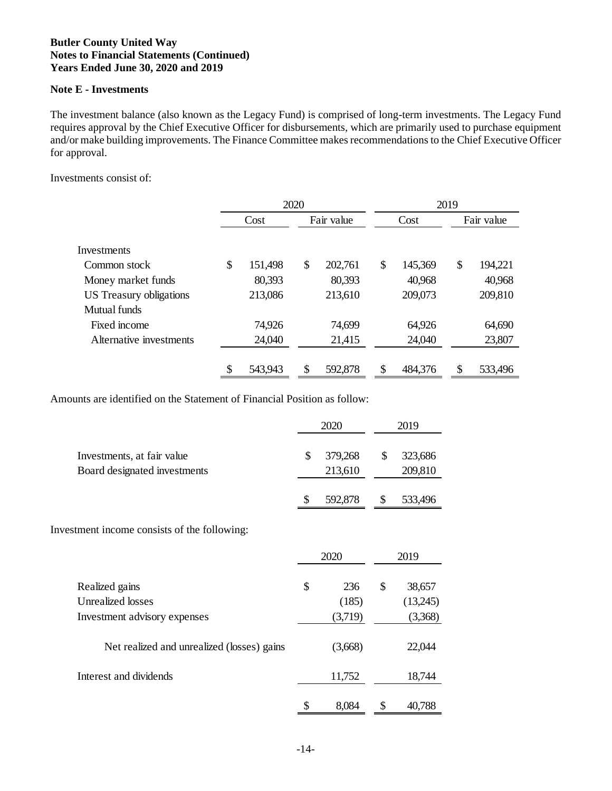#### **Note E - Investments**

The investment balance (also known as the Legacy Fund) is comprised of long-term investments. The Legacy Fund requires approval by the Chief Executive Officer for disbursements, which are primarily used to purchase equipment and/or make building improvements. The Finance Committee makes recommendations to the Chief Executive Officer for approval.

Investments consist of:

|                                | 2020 |         |            |         | 2019 |         |    |            |
|--------------------------------|------|---------|------------|---------|------|---------|----|------------|
|                                |      | Cost    | Fair value |         | Cost |         |    | Fair value |
|                                |      |         |            |         |      |         |    |            |
| Investments                    |      |         |            |         |      |         |    |            |
| Common stock                   | \$   | 151,498 | \$         | 202,761 | \$   | 145,369 | \$ | 194,221    |
| Money market funds             |      | 80,393  |            | 80,393  |      | 40,968  |    | 40,968     |
| <b>US</b> Treasury obligations |      | 213,086 |            | 213,610 |      | 209,073 |    | 209,810    |
| <b>Mutual funds</b>            |      |         |            |         |      |         |    |            |
| Fixed income                   |      | 74,926  |            | 74,699  |      | 64,926  |    | 64,690     |
| Alternative investments        |      | 24,040  |            | 21,415  |      | 24,040  |    | 23,807     |
|                                |      |         |            |         |      |         |    |            |
|                                | \$   | 543,943 | \$         | 592,878 | \$   | 484,376 | \$ | 533,496    |

Amounts are identified on the Statement of Financial Position as follow:

|                                                            |    | 2020               |   | 2019               |
|------------------------------------------------------------|----|--------------------|---|--------------------|
| Investments, at fair value<br>Board designated investments | S  | 379,268<br>213,610 | S | 323,686<br>209,810 |
|                                                            | \$ | 592,878            |   | 533,496            |

Investment income consists of the following:

|                                            |    | 2020    | 2019 |          |  |
|--------------------------------------------|----|---------|------|----------|--|
| Realized gains                             | \$ | 236     | \$   | 38,657   |  |
| <b>Unrealized losses</b>                   |    | (185)   |      | (13,245) |  |
| Investment advisory expenses               |    | (3,719) |      | (3,368)  |  |
| Net realized and unrealized (losses) gains |    | (3,668) |      | 22,044   |  |
| Interest and dividends                     |    | 11,752  |      | 18,744   |  |
|                                            | \$ | 8,084   | \$   | 40,788   |  |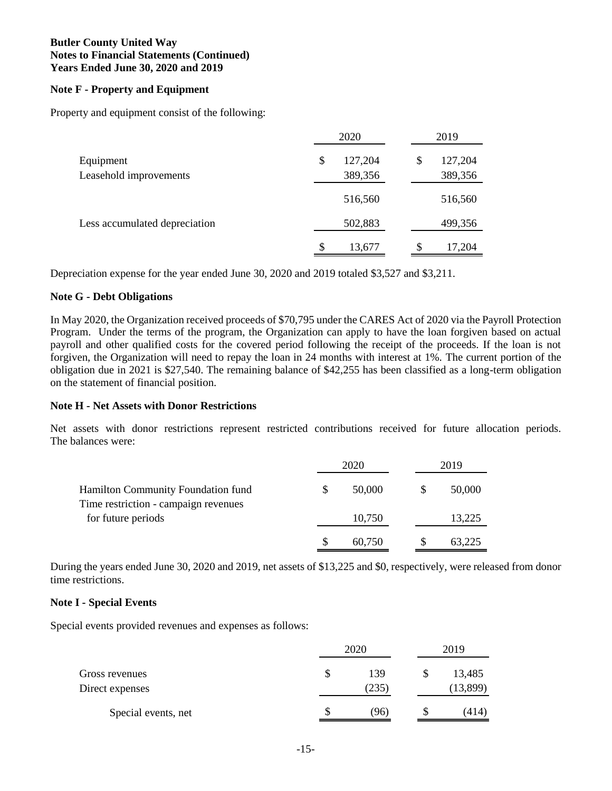### **Note F - Property and Equipment**

Property and equipment consist of the following:

|                                     | 2020 |                    |  |     | 2019               |  |  |
|-------------------------------------|------|--------------------|--|-----|--------------------|--|--|
| Equipment<br>Leasehold improvements | \$   | 127,204<br>389,356 |  | S   | 127,204<br>389,356 |  |  |
|                                     |      | 516,560            |  |     | 516,560            |  |  |
| Less accumulated depreciation       |      | 502,883            |  |     | 499,356            |  |  |
|                                     | \$   | 13,677             |  | \$. | 17,204             |  |  |

Depreciation expense for the year ended June 30, 2020 and 2019 totaled \$3,527 and \$3,211.

## **Note G - Debt Obligations**

In May 2020, the Organization received proceeds of \$70,795 under the CARES Act of 2020 via the Payroll Protection Program. Under the terms of the program, the Organization can apply to have the loan forgiven based on actual payroll and other qualified costs for the covered period following the receipt of the proceeds. If the loan is not forgiven, the Organization will need to repay the loan in 24 months with interest at 1%. The current portion of the obligation due in 2021 is \$27,540. The remaining balance of \$42,255 has been classified as a long-term obligation on the statement of financial position.

#### **Note H - Net Assets with Donor Restrictions**

Net assets with donor restrictions represent restricted contributions received for future allocation periods. The balances were:

|                                                                            | 2020 |        | 2019   |
|----------------------------------------------------------------------------|------|--------|--------|
| Hamilton Community Foundation fund<br>Time restriction - campaign revenues |      | 50,000 | 50,000 |
| for future periods                                                         |      | 10,750 | 13,225 |
|                                                                            |      | 60,750 | 63,225 |

During the years ended June 30, 2020 and 2019, net assets of \$13,225 and \$0, respectively, were released from donor time restrictions.

## **Note I - Special Events**

Special events provided revenues and expenses as follows:

|                                   |   | 2020         |  |                     |
|-----------------------------------|---|--------------|--|---------------------|
| Gross revenues<br>Direct expenses | S | 139<br>(235) |  | 13,485<br>(13, 899) |
| Special events, net               |   | (96)         |  | (414)               |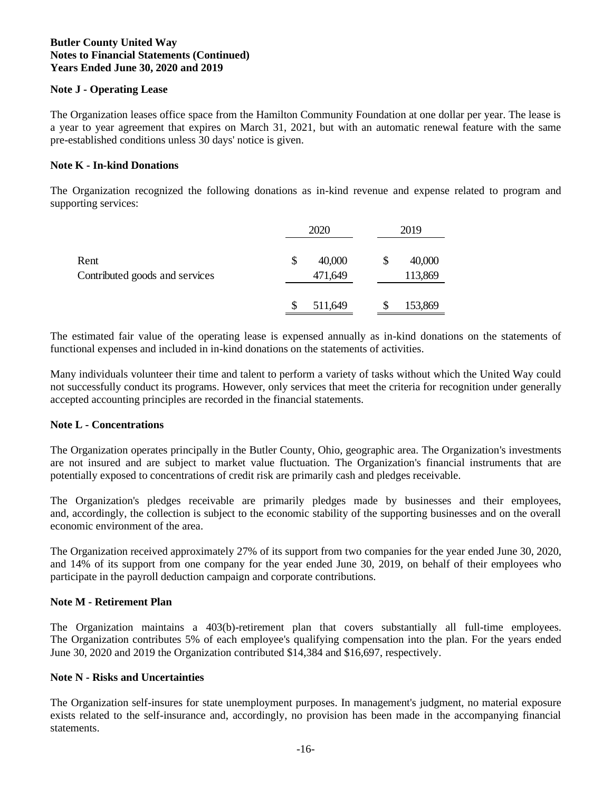### **Note J - Operating Lease**

The Organization leases office space from the Hamilton Community Foundation at one dollar per year. The lease is a year to year agreement that expires on March 31, 2021, but with an automatic renewal feature with the same pre-established conditions unless 30 days' notice is given.

## **Note K - In-kind Donations**

The Organization recognized the following donations as in-kind revenue and expense related to program and supporting services:

|                                        |  | 2020              |    | 2019              |  |  |  |
|----------------------------------------|--|-------------------|----|-------------------|--|--|--|
| Rent<br>Contributed goods and services |  | 40,000<br>471,649 | \$ | 40,000<br>113,869 |  |  |  |
|                                        |  | 511,649           |    | 153,869           |  |  |  |

The estimated fair value of the operating lease is expensed annually as in-kind donations on the statements of functional expenses and included in in-kind donations on the statements of activities.

Many individuals volunteer their time and talent to perform a variety of tasks without which the United Way could not successfully conduct its programs. However, only services that meet the criteria for recognition under generally accepted accounting principles are recorded in the financial statements.

#### **Note L - Concentrations**

The Organization operates principally in the Butler County, Ohio, geographic area. The Organization's investments are not insured and are subject to market value fluctuation. The Organization's financial instruments that are potentially exposed to concentrations of credit risk are primarily cash and pledges receivable.

The Organization's pledges receivable are primarily pledges made by businesses and their employees, and, accordingly, the collection is subject to the economic stability of the supporting businesses and on the overall economic environment of the area.

The Organization received approximately 27% of its support from two companies for the year ended June 30, 2020, and 14% of its support from one company for the year ended June 30, 2019, on behalf of their employees who participate in the payroll deduction campaign and corporate contributions.

## **Note M - Retirement Plan**

The Organization maintains a 403(b)-retirement plan that covers substantially all full-time employees. The Organization contributes 5% of each employee's qualifying compensation into the plan. For the years ended June 30, 2020 and 2019 the Organization contributed \$14,384 and \$16,697, respectively.

#### **Note N - Risks and Uncertainties**

The Organization self-insures for state unemployment purposes. In management's judgment, no material exposure exists related to the self-insurance and, accordingly, no provision has been made in the accompanying financial statements.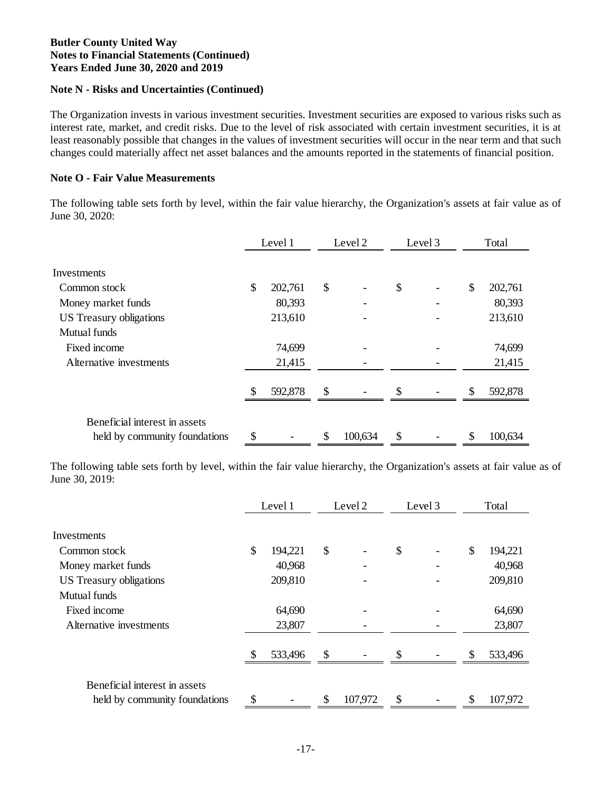#### **Note N - Risks and Uncertainties (Continued)**

The Organization invests in various investment securities. Investment securities are exposed to various risks such as interest rate, market, and credit risks. Due to the level of risk associated with certain investment securities, it is at least reasonably possible that changes in the values of investment securities will occur in the near term and that such changes could materially affect net asset balances and the amounts reported in the statements of financial position.

## **Note O - Fair Value Measurements**

The following table sets forth by level, within the fair value hierarchy, the Organization's assets at fair value as of June 30, 2020:

|                                | Level 1       | Level 2       |    | Level 3 |    | Total   |
|--------------------------------|---------------|---------------|----|---------|----|---------|
| Investments                    |               |               |    |         |    |         |
| Common stock                   | \$<br>202,761 | \$            | \$ |         | \$ | 202,761 |
| Money market funds             | 80,393        |               |    |         |    | 80,393  |
| <b>US</b> Treasury obligations | 213,610       |               |    |         |    | 213,610 |
| Mutual funds                   |               |               |    |         |    |         |
| Fixed income                   | 74,699        |               |    |         |    | 74,699  |
| Alternative investments        | 21,415        |               |    |         |    | 21,415  |
|                                |               |               |    |         |    |         |
|                                | 592,878       | \$            | S  |         | S  | 592,878 |
|                                |               |               |    |         |    |         |
| Beneficial interest in assets  |               |               |    |         |    |         |
| held by community foundations  | \$            | \$<br>100,634 | \$ |         | \$ | 100,634 |

The following table sets forth by level, within the fair value hierarchy, the Organization's assets at fair value as of June 30, 2019:

|                                | Level 1       | Level <sub>2</sub> | Level 3 |     | Total   |
|--------------------------------|---------------|--------------------|---------|-----|---------|
|                                |               |                    |         |     |         |
| Investments                    |               |                    |         |     |         |
| Common stock                   | \$<br>194,221 | \$                 | \$      | \$  | 194,221 |
| Money market funds             | 40,968        |                    |         |     | 40,968  |
| <b>US</b> Treasury obligations | 209,810       |                    |         |     | 209,810 |
| Mutual funds                   |               |                    |         |     |         |
| Fixed income                   | 64,690        |                    |         |     | 64,690  |
| Alternative investments        | 23,807        |                    |         |     | 23,807  |
|                                |               |                    |         |     |         |
|                                | 533,496       | \$                 | \$      | \$. | 533,496 |
|                                |               |                    |         |     |         |
| Beneficial interest in assets  |               |                    |         |     |         |
| held by community foundations  | \$            | \$<br>107,972      | \$      | \$  | 107,972 |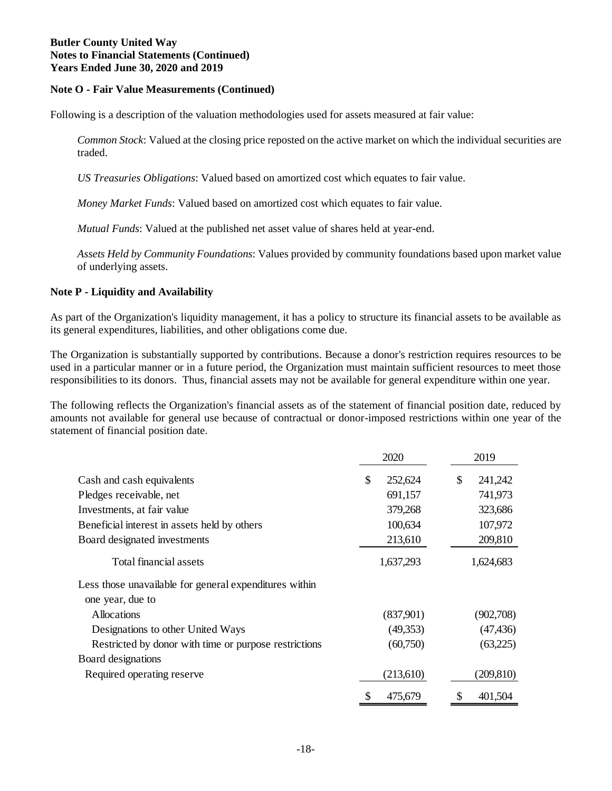#### **Note O - Fair Value Measurements (Continued)**

Following is a description of the valuation methodologies used for assets measured at fair value:

*Common Stock*: Valued at the closing price reposted on the active market on which the individual securities are traded.

*US Treasuries Obligations*: Valued based on amortized cost which equates to fair value.

*Money Market Funds*: Valued based on amortized cost which equates to fair value.

*Mutual Funds*: Valued at the published net asset value of shares held at year-end.

*Assets Held by Community Foundations*: Values provided by community foundations based upon market value of underlying assets.

## **Note P - Liquidity and Availability**

As part of the Organization's liquidity management, it has a policy to structure its financial assets to be available as its general expenditures, liabilities, and other obligations come due.

The Organization is substantially supported by contributions. Because a donor's restriction requires resources to be used in a particular manner or in a future period, the Organization must maintain sufficient resources to meet those responsibilities to its donors. Thus, financial assets may not be available for general expenditure within one year.

The following reflects the Organization's financial assets as of the statement of financial position date, reduced by amounts not available for general use because of contractual or donor-imposed restrictions within one year of the statement of financial position date.

|                                                        | 2020          | 2019          |
|--------------------------------------------------------|---------------|---------------|
| Cash and cash equivalents                              | \$<br>252,624 | \$<br>241,242 |
| Pledges receivable, net                                | 691,157       | 741,973       |
| Investments, at fair value                             | 379,268       | 323,686       |
| Beneficial interest in assets held by others           | 100,634       | 107,972       |
| Board designated investments                           | 213,610       | 209,810       |
| Total financial assets                                 | 1,637,293     | 1,624,683     |
| Less those unavailable for general expenditures within |               |               |
| one year, due to                                       |               |               |
| Allocations                                            | (837,901)     | (902,708)     |
| Designations to other United Ways                      | (49,353)      | (47, 436)     |
| Restricted by donor with time or purpose restrictions  | (60,750)      | (63,225)      |
| Board designations                                     |               |               |
| Required operating reserve                             | (213,610)     | (209, 810)    |
|                                                        | S<br>475,679  | \$<br>401,504 |